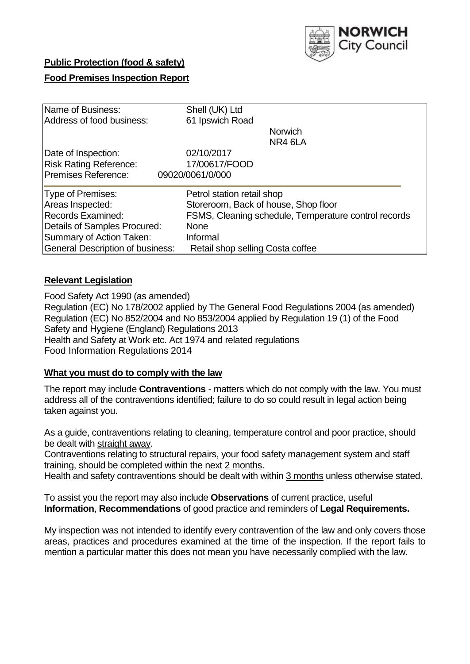

# **Public Protection (food & safety)**

# **Food Premises Inspection Report**

| Name of Business:                | Shell (UK) Ltd                                       |  |  |  |  |  |
|----------------------------------|------------------------------------------------------|--|--|--|--|--|
| Address of food business:        | 61 Ipswich Road                                      |  |  |  |  |  |
|                                  | <b>Norwich</b>                                       |  |  |  |  |  |
|                                  | NR4 6LA                                              |  |  |  |  |  |
| Date of Inspection:              | 02/10/2017                                           |  |  |  |  |  |
| <b>Risk Rating Reference:</b>    | 17/00617/FOOD                                        |  |  |  |  |  |
| Premises Reference:              | 09020/0061/0/000                                     |  |  |  |  |  |
| Type of Premises:                | Petrol station retail shop                           |  |  |  |  |  |
| Areas Inspected:                 | Storeroom, Back of house, Shop floor                 |  |  |  |  |  |
| Records Examined:                | FSMS, Cleaning schedule, Temperature control records |  |  |  |  |  |
| Details of Samples Procured:     | <b>None</b>                                          |  |  |  |  |  |
| Summary of Action Taken:         | Informal                                             |  |  |  |  |  |
| General Description of business: | Retail shop selling Costa coffee                     |  |  |  |  |  |

# **Relevant Legislation**

Food Safety Act 1990 (as amended) Regulation (EC) No 178/2002 applied by The General Food Regulations 2004 (as amended) Regulation (EC) No 852/2004 and No 853/2004 applied by Regulation 19 (1) of the Food Safety and Hygiene (England) Regulations 2013 Health and Safety at Work etc. Act 1974 and related regulations Food Information Regulations 2014

# **What you must do to comply with the law**

The report may include **Contraventions** - matters which do not comply with the law. You must address all of the contraventions identified; failure to do so could result in legal action being taken against you.

As a guide, contraventions relating to cleaning, temperature control and poor practice, should be dealt with straight away.

Contraventions relating to structural repairs, your food safety management system and staff training, should be completed within the next 2 months.

Health and safety contraventions should be dealt with within 3 months unless otherwise stated.

To assist you the report may also include **Observations** of current practice, useful **Information**, **Recommendations** of good practice and reminders of **Legal Requirements.**

My inspection was not intended to identify every contravention of the law and only covers those areas, practices and procedures examined at the time of the inspection. If the report fails to mention a particular matter this does not mean you have necessarily complied with the law.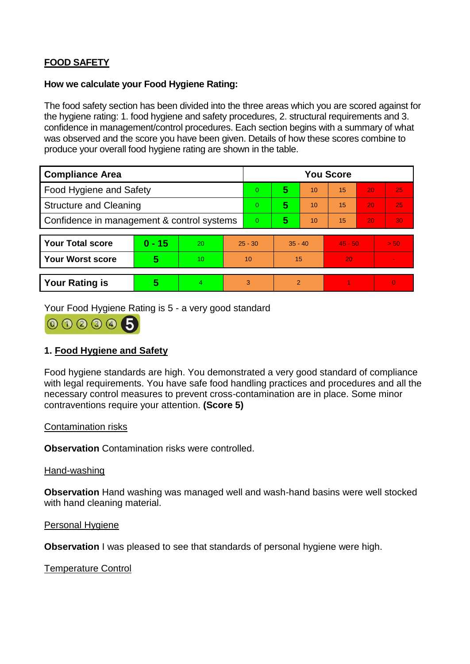# **FOOD SAFETY**

## **How we calculate your Food Hygiene Rating:**

The food safety section has been divided into the three areas which you are scored against for the hygiene rating: 1. food hygiene and safety procedures, 2. structural requirements and 3. confidence in management/control procedures. Each section begins with a summary of what was observed and the score you have been given. Details of how these scores combine to produce your overall food hygiene rating are shown in the table.

| <b>Compliance Area</b>                     |          |                  |           | <b>You Score</b> |               |    |           |    |                |  |
|--------------------------------------------|----------|------------------|-----------|------------------|---------------|----|-----------|----|----------------|--|
| Food Hygiene and Safety                    |          |                  |           | 0                | 5             | 10 | 15        | 20 | 25             |  |
| <b>Structure and Cleaning</b>              |          |                  | $\Omega$  | 5                | 10            | 15 | 20        | 25 |                |  |
| Confidence in management & control systems |          |                  | 0         | 5                | 10            | 15 | 20        | 30 |                |  |
|                                            |          |                  |           |                  |               |    |           |    |                |  |
| <b>Your Total score</b>                    | $0 - 15$ | 20               | $25 - 30$ |                  | $35 - 40$     |    | $45 - 50$ |    | > 50           |  |
| <b>Your Worst score</b>                    | 5        | 10 <sup>10</sup> | 10        |                  | 15            |    | 20        |    | $\blacksquare$ |  |
|                                            |          |                  |           |                  |               |    |           |    |                |  |
| <b>Your Rating is</b>                      | 5        | 4                | 3         |                  | $\mathcal{P}$ |    |           |    | $\overline{0}$ |  |

Your Food Hygiene Rating is 5 - a very good standard



# **1. Food Hygiene and Safety**

Food hygiene standards are high. You demonstrated a very good standard of compliance with legal requirements. You have safe food handling practices and procedures and all the necessary control measures to prevent cross-contamination are in place. Some minor contraventions require your attention. **(Score 5)**

# Contamination risks

**Observation** Contamination risks were controlled.

#### Hand-washing

**Observation** Hand washing was managed well and wash-hand basins were well stocked with hand cleaning material.

#### Personal Hygiene

**Observation** I was pleased to see that standards of personal hygiene were high.

#### Temperature Control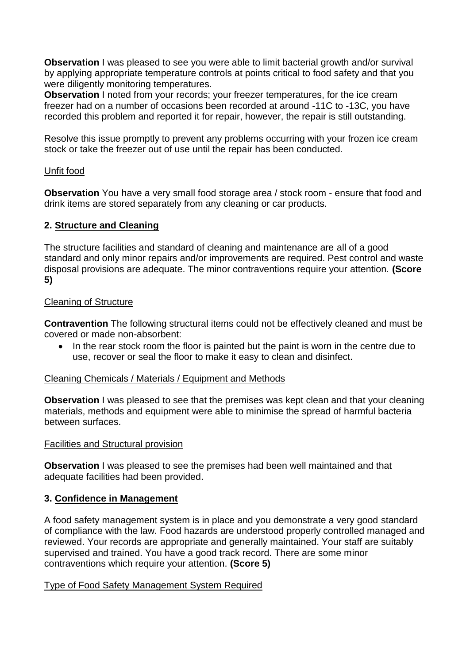**Observation** I was pleased to see you were able to limit bacterial growth and/or survival by applying appropriate temperature controls at points critical to food safety and that you were diligently monitoring temperatures.

**Observation** I noted from your records; your freezer temperatures, for the ice cream freezer had on a number of occasions been recorded at around -11C to -13C, you have recorded this problem and reported it for repair, however, the repair is still outstanding.

Resolve this issue promptly to prevent any problems occurring with your frozen ice cream stock or take the freezer out of use until the repair has been conducted.

## Unfit food

**Observation** You have a very small food storage area / stock room - ensure that food and drink items are stored separately from any cleaning or car products.

# **2. Structure and Cleaning**

The structure facilities and standard of cleaning and maintenance are all of a good standard and only minor repairs and/or improvements are required. Pest control and waste disposal provisions are adequate. The minor contraventions require your attention. **(Score 5)**

# Cleaning of Structure

**Contravention** The following structural items could not be effectively cleaned and must be covered or made non-absorbent:

 In the rear stock room the floor is painted but the paint is worn in the centre due to use, recover or seal the floor to make it easy to clean and disinfect.

#### Cleaning Chemicals / Materials / Equipment and Methods

**Observation** I was pleased to see that the premises was kept clean and that your cleaning materials, methods and equipment were able to minimise the spread of harmful bacteria between surfaces.

#### Facilities and Structural provision

**Observation** I was pleased to see the premises had been well maintained and that adequate facilities had been provided.

#### **3. Confidence in Management**

A food safety management system is in place and you demonstrate a very good standard of compliance with the law. Food hazards are understood properly controlled managed and reviewed. Your records are appropriate and generally maintained. Your staff are suitably supervised and trained. You have a good track record. There are some minor contraventions which require your attention. **(Score 5)**

#### Type of Food Safety Management System Required